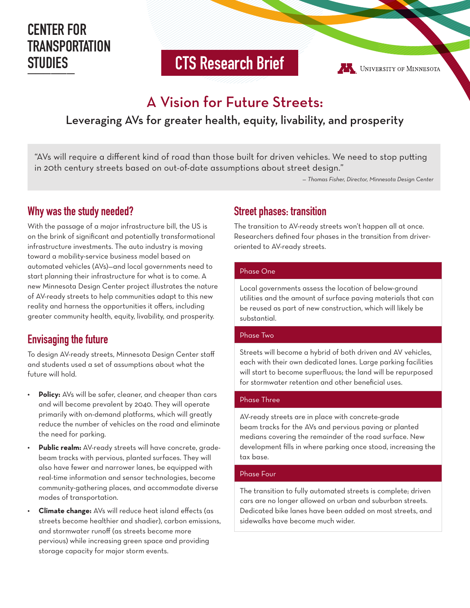# **CENTER FOR TRANSPORTATION STUDIES**

**\_\_\_\_\_\_ CTS Research Brief**

UNIVERSITY OF MINNESOTA

# A Vision for Future Streets:

# Leveraging AVs for greater health, equity, livability, and prosperity

"AVs will require a different kind of road than those built for driven vehicles. We need to stop putting in 20th century streets based on out-of-date assumptions about street design."

*— Thomas Fisher, Director, Minnesota Design Center*

## **Why was the study needed?**

With the passage of a major infrastructure bill, the US is on the brink of significant and potentially transformational infrastructure investments. The auto industry is moving toward a mobility-service business model based on automated vehicles (AVs)—and local governments need to start planning their infrastructure for what is to come. A new Minnesota Design Center project illustrates the nature of AV-ready streets to help communities adapt to this new reality and harness the opportunities it offers, including greater community health, equity, livability, and prosperity.

## **Envisaging the future**

To design AV-ready streets, Minnesota Design Center staff and students used a set of assumptions about what the future will hold.

- **• Policy:** AVs will be safer, cleaner, and cheaper than cars and will become prevalent by 2040. They will operate primarily with on-demand platforms, which will greatly reduce the number of vehicles on the road and eliminate the need for parking.
- **• Public realm:** AV-ready streets will have concrete, gradebeam tracks with pervious, planted surfaces. They will also have fewer and narrower lanes, be equipped with real-time information and sensor technologies, become community-gathering places, and accommodate diverse modes of transportation.
- **• Climate change:** AVs will reduce heat island effects (as streets become healthier and shadier), carbon emissions, and stormwater runoff (as streets become more pervious) while increasing green space and providing storage capacity for major storm events.

## **Street phases: transition**

The transition to AV-ready streets won't happen all at once. Researchers defined four phases in the transition from driveroriented to AV-ready streets.

#### Phase One

Local governments assess the location of below-ground utilities and the amount of surface paving materials that can be reused as part of new construction, which will likely be substantial.

#### Phase Two

Streets will become a hybrid of both driven and AV vehicles, each with their own dedicated lanes. Large parking facilities will start to become superfluous; the land will be repurposed for stormwater retention and other beneficial uses.

#### Phase Three

AV-ready streets are in place with concrete-grade beam tracks for the AVs and pervious paving or planted medians covering the remainder of the road surface. New development fills in where parking once stood, increasing the tax base.

#### Phase Four

The transition to fully automated streets is complete; driven cars are no longer allowed on urban and suburban streets. Dedicated bike lanes have been added on most streets, and sidewalks have become much wider.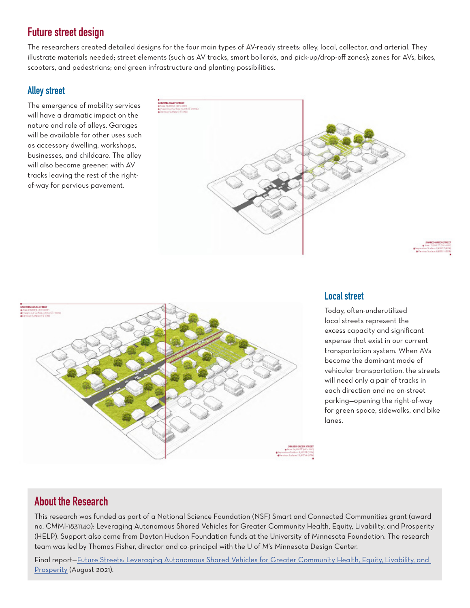# **Future street design**

The researchers created detailed designs for the four main types of AV-ready streets: alley, local, collector, and arterial. They illustrate materials needed; street elements (such as AV tracks, smart bollards, and pick-up/drop-off zones); zones for AVs, bikes, scooters, and pedestrians; and green infrastructure and planting possibilities.

### **Alley street**

The emergence of mobility services will have a dramatic impact on the nature and role of alleys. Garages will be available for other uses such as accessory dwelling, workshops, businesses, and childcare. The alley will also become greener, with AV tracks leaving the rest of the rightof-way for pervious pavement.





### **Local street**

Today, often-underutilized local streets represent the excess capacity and significant expense that exist in our current transportation system. When AVs become the dominant mode of vehicular transportation, the streets will need only a pair of tracks in each direction and no on-street parking—opening the right-of-way for green space, sidewalks, and bike lanes.

## **About the Research**

This research was funded as part of a National Science Foundation (NSF) Smart and Connected Communities grant (award no. CMMI-1831140): Leveraging Autonomous Shared Vehicles for Greater Community Health, Equity, Livability, and Prosperity (HELP). Support also came from Dayton Hudson Foundation funds at the University of Minnesota Foundation. The research team was led by Thomas Fisher, director and co-principal with the U of M's Minnesota Design Center.

Final report-Future Streets: Leveraging Autonomous Shared Vehicles for Greater Community Health, Equity, Livability, and Prosperity (August 2021).